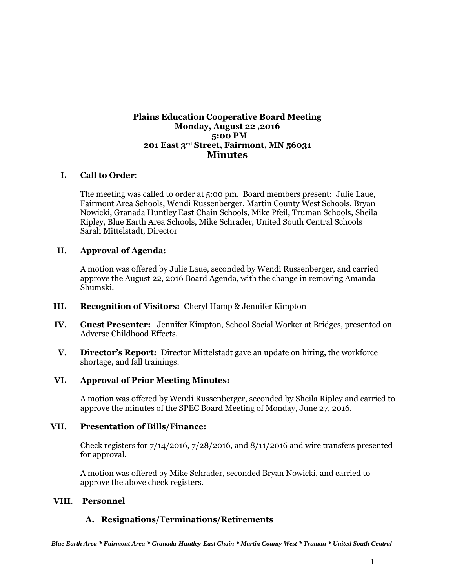### **Plains Education Cooperative Board Meeting Monday, August 22 ,2016 5:00 PM 201 East 3rd Street, Fairmont, MN 56031 Minutes**

### **I. Call to Order**:

The meeting was called to order at 5:00 pm. Board members present: Julie Laue, Fairmont Area Schools, Wendi Russenberger, Martin County West Schools, Bryan Nowicki, Granada Huntley East Chain Schools, Mike Pfeil, Truman Schools, Sheila Ripley, Blue Earth Area Schools, Mike Schrader, United South Central Schools Sarah Mittelstadt, Director

### **II. Approval of Agenda:**

A motion was offered by Julie Laue, seconded by Wendi Russenberger, and carried approve the August 22, 2016 Board Agenda, with the change in removing Amanda Shumski.

- **III. Recognition of Visitors:** Cheryl Hamp & Jennifer Kimpton
- **IV. Guest Presenter:** Jennifer Kimpton, School Social Worker at Bridges, presented on Adverse Childhood Effects.
- **V. Director's Report:** Director Mittelstadt gave an update on hiring, the workforce shortage, and fall trainings.

#### **VI. Approval of Prior Meeting Minutes:**

A motion was offered by Wendi Russenberger, seconded by Sheila Ripley and carried to approve the minutes of the SPEC Board Meeting of Monday, June 27, 2016.

#### **VII. Presentation of Bills/Finance:**

Check registers for  $7/14/2016$ ,  $7/28/2016$ , and  $8/11/2016$  and wire transfers presented for approval.

A motion was offered by Mike Schrader, seconded Bryan Nowicki, and carried to approve the above check registers.

### **VIII**. **Personnel**

### **A. Resignations/Terminations/Retirements**

 *Blue Earth Area \* Fairmont Area \* Granada-Huntley-East Chain \* Martin County West \* Truman \* United South Central*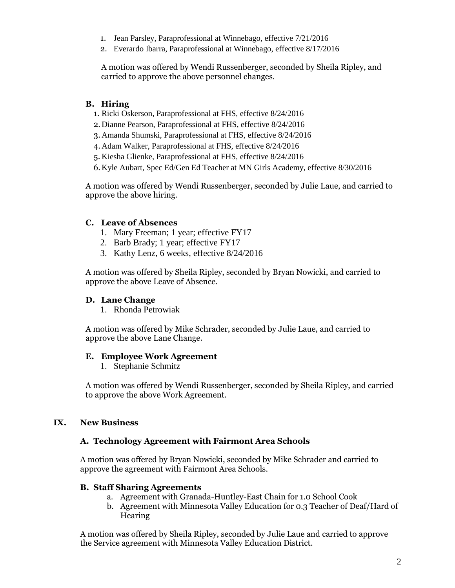- 1. Jean Parsley, Paraprofessional at Winnebago, effective 7/21/2016
- 2. Everardo Ibarra, Paraprofessional at Winnebago, effective 8/17/2016

A motion was offered by Wendi Russenberger, seconded by Sheila Ripley, and carried to approve the above personnel changes.

# **B. Hiring**

- 1. Ricki Oskerson, Paraprofessional at FHS, effective 8/24/2016
- 2. Dianne Pearson, Paraprofessional at FHS, effective 8/24/2016
- 3. Amanda Shumski, Paraprofessional at FHS, effective 8/24/2016
- 4.Adam Walker, Paraprofessional at FHS, effective 8/24/2016
- 5. Kiesha Glienke, Paraprofessional at FHS, effective 8/24/2016
- 6.Kyle Aubart, Spec Ed/Gen Ed Teacher at MN Girls Academy, effective 8/30/2016

A motion was offered by Wendi Russenberger, seconded by Julie Laue, and carried to approve the above hiring.

### **C. Leave of Absences**

- 1. Mary Freeman; 1 year; effective FY17
- 2. Barb Brady; 1 year; effective FY17
- 3. Kathy Lenz, 6 weeks, effective 8/24/2016

A motion was offered by Sheila Ripley, seconded by Bryan Nowicki, and carried to approve the above Leave of Absence.

#### **D. Lane Change**

1. Rhonda Petrowiak

A motion was offered by Mike Schrader, seconded by Julie Laue, and carried to approve the above Lane Change.

#### **E. Employee Work Agreement**

1. Stephanie Schmitz

A motion was offered by Wendi Russenberger, seconded by Sheila Ripley, and carried to approve the above Work Agreement.

### **IX. New Business**

#### **A. Technology Agreement with Fairmont Area Schools**

A motion was offered by Bryan Nowicki, seconded by Mike Schrader and carried to approve the agreement with Fairmont Area Schools.

### **B. Staff Sharing Agreements**

- a. Agreement with Granada-Huntley-East Chain for 1.0 School Cook
- b. Agreement with Minnesota Valley Education for 0.3 Teacher of Deaf/Hard of **Hearing**

A motion was offered by Sheila Ripley, seconded by Julie Laue and carried to approve the Service agreement with Minnesota Valley Education District.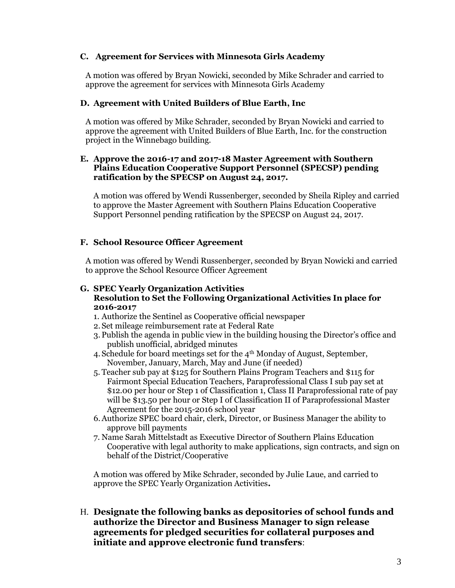### **C. Agreement for Services with Minnesota Girls Academy**

A motion was offered by Bryan Nowicki, seconded by Mike Schrader and carried to approve the agreement for services with Minnesota Girls Academy

### **D. Agreement with United Builders of Blue Earth, Inc**

A motion was offered by Mike Schrader, seconded by Bryan Nowicki and carried to approve the agreement with United Builders of Blue Earth, Inc. for the construction project in the Winnebago building.

### **E. Approve the 2016-17 and 2017-18 Master Agreement with Southern Plains Education Cooperative Support Personnel (SPECSP) pending ratification by the SPECSP on August 24, 2017.**

A motion was offered by Wendi Russenberger, seconded by Sheila Ripley and carried to approve the Master Agreement with Southern Plains Education Cooperative Support Personnel pending ratification by the SPECSP on August 24, 2017.

### **F. School Resource Officer Agreement**

A motion was offered by Wendi Russenberger, seconded by Bryan Nowicki and carried to approve the School Resource Officer Agreement

### **G. SPEC Yearly Organization Activities Resolution to Set the Following Organizational Activities In place for 2016-2017**

- 1. Authorize the Sentinel as Cooperative official newspaper
- 2. Set mileage reimbursement rate at Federal Rate
- 3. Publish the agenda in public view in the building housing the Director's office and publish unofficial, abridged minutes
- 4. Schedule for board meetings set for the  $4<sup>th</sup>$  Monday of August, September, November, January, March, May and June (if needed)
- 5. Teacher sub pay at \$125 for Southern Plains Program Teachers and \$115 for Fairmont Special Education Teachers, Paraprofessional Class I sub pay set at \$12.00 per hour or Step 1 of Classification 1, Class II Paraprofessional rate of pay will be \$13.50 per hour or Step I of Classification II of Paraprofessional Master Agreement for the 2015-2016 school year
- 6.Authorize SPEC board chair, clerk, Director, or Business Manager the ability to approve bill payments
- 7. Name Sarah Mittelstadt as Executive Director of Southern Plains Education Cooperative with legal authority to make applications, sign contracts, and sign on behalf of the District/Cooperative

A motion was offered by Mike Schrader, seconded by Julie Laue, and carried to approve the SPEC Yearly Organization Activities**.**

H. **Designate the following banks as depositories of school funds and authorize the Director and Business Manager to sign release agreements for pledged securities for collateral purposes and initiate and approve electronic fund transfers**: